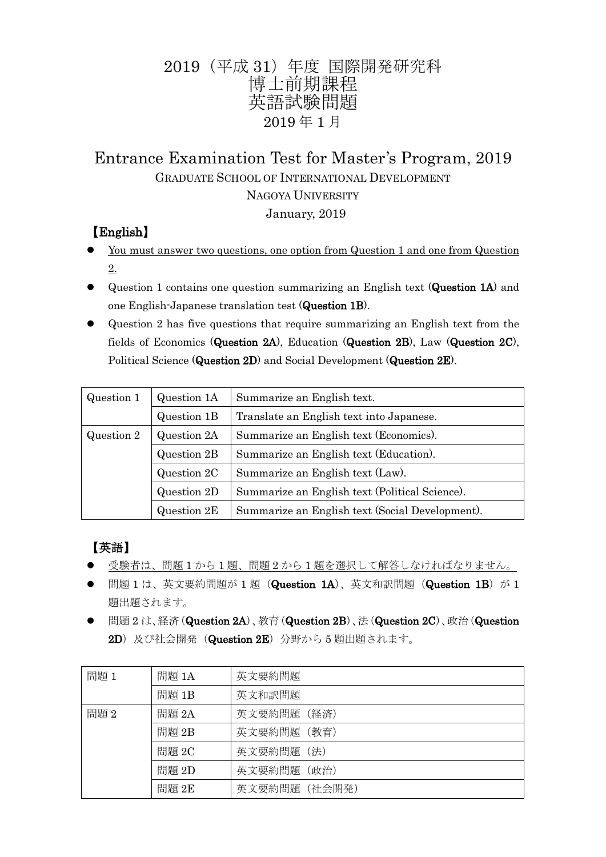## 2019(平成 31)年度 国際開発研究科 博士前期課程 英語試験問題 2019 年 1 月

# Entrance Examination Test for Master's Program, 2019 GRADUATE SCHOOL OF INTERNATIONAL DEVELOPMENT NAGOYA UNIVERSITY

January, 2019

## 【English】

- You must answer two questions, one option from Question 1 and one from Question 2.
- Question 1 contains one question summarizing an English text (Question 1A) and one English-Japanese translation test (Question 1B).
- Question 2 has five questions that require summarizing an English text from the fields of Economics (Question 2A), Education (Question 2B), Law (Question 2C), Political Science (Question 2D) and Social Development (Question 2E).

| Question 1 | Question 1A | Summarize an English text.                      |
|------------|-------------|-------------------------------------------------|
|            | Question 1B | Translate an English text into Japanese.        |
| Question 2 | Question 2A | Summarize an English text (Economics).          |
|            | Question 2B | Summarize an English text (Education).          |
|            | Question 2C | Summarize an English text (Law).                |
|            | Question 2D | Summarize an English text (Political Science).  |
|            | Question 2E | Summarize an English text (Social Development). |

## 【英語】

- 受験者は、問題 1 から 1 題、問題 2 から 1 題を選択して解答しなければなりません。
- 問題 1 は、英文要約問題が 1 題 (Question 1A)、英文和訳問題 (Question 1B) が 1 題出題されます。
- **●** 問題 2 は、経済(Question 2A)、教育(Question 2B)、法(Question 2C)、政治(Question 2D)及び社会開発 (Question 2E) 分野から5 題出題されます。

| 問題 1 | 問題 1A | 英文要約問題        |
|------|-------|---------------|
|      | 問題 1B | 英文和訳問題        |
| 問題2  | 問題 2A | 英文要約問題 (経済)   |
|      | 問題 2B | 英文要約問題 (教育)   |
|      | 問題 2C | 英文要約問題 (法)    |
|      | 問題 2D | 英文要約問題 (政治)   |
|      | 問題 2E | 英文要約問題 (社会開発) |